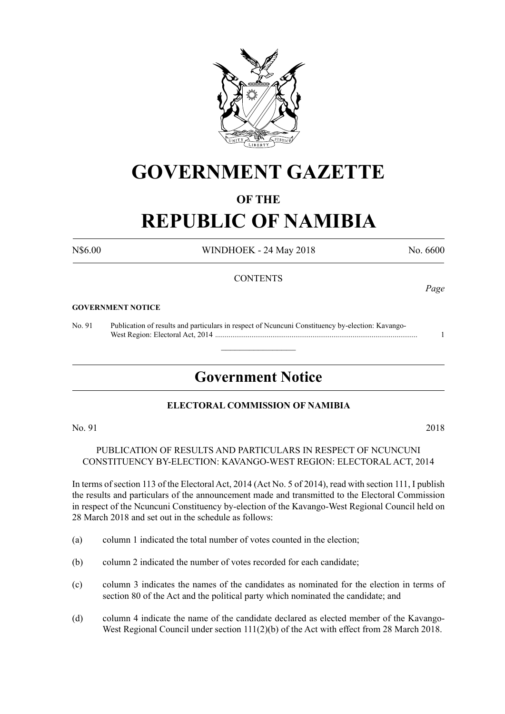

# **GOVERNMENT GAZETTE**

# **OF THE**

# **REPUBLIC OF NAMIBIA**

N\$6.00 WINDHOEK - 24 May 2018 No. 6600

# **CONTENTS**

#### **GOVERNMENT NOTICE**

No. 91 Publication of results and particulars in respect of Ncuncuni Constituency by-election: Kavango- West Region: Electoral Act, 2014 .......................................................................................................... 1

# **Government Notice**

 $\overline{\phantom{a}}$  , where  $\overline{\phantom{a}}$ 

### **ELECTORAL COMMISSION OF NAMIBIA**

No. 91 2018

PUBLICATION OF RESULTS AND PARTICULARS IN RESPECT OF NCUNCUNI CONSTITUENCY BY-ELECTION: KAVANGO-WEST REGION: ELECTORAL ACT, 2014

In terms of section 113 of the Electoral Act, 2014 (Act No. 5 of 2014), read with section 111, I publish the results and particulars of the announcement made and transmitted to the Electoral Commission in respect of the Ncuncuni Constituency by-election of the Kavango-West Regional Council held on 28 March 2018 and set out in the schedule as follows:

- (a) column 1 indicated the total number of votes counted in the election;
- (b) column 2 indicated the number of votes recorded for each candidate;
- (c) column 3 indicates the names of the candidates as nominated for the election in terms of section 80 of the Act and the political party which nominated the candidate; and
- (d) column 4 indicate the name of the candidate declared as elected member of the Kavango-West Regional Council under section 111(2)(b) of the Act with effect from 28 March 2018.

*Page*